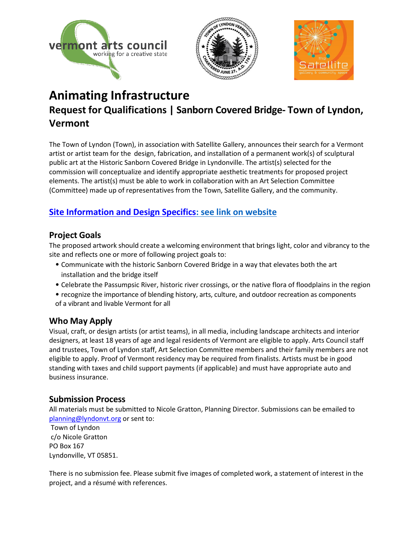





# **Animating Infrastructure Request for Qualifications | Sanborn Covered Bridge- Town of Lyndon, Vermont**

The Town of Lyndon (Town), in association with Satellite Gallery, announces their search for a Vermont artist or artist team for the design, fabrication, and installation of a permanent work(s) of sculptural public art at the Historic Sanborn Covered Bridge in Lyndonville. The artist(s) selected for the commission will conceptualize and identify appropriate aesthetic treatments for proposed project elements. The artist(s) must be able to work in collaboration with an Art Selection Committee (Committee) made up of representatives from the Town, Satellite Gallery, and the community.

# **[Site Information and Design Specifics:](http://www.lyndonvt.org/projects) see link on website**

# **Project Goals**

The proposed artwork should create a welcoming environment that brings light, color and vibrancy to the site and reflects one or more of following project goals to:

- Communicate with the historic Sanborn Covered Bridge in a way that elevates both the art installation and the bridge itself
- Celebrate the Passumpsic River, historic river crossings, or the native flora of floodplains in the region
- recognize the importance of blending history, arts, culture, and outdoor recreation as components of a vibrant and livable Vermont for all

# **Who May Apply**

Visual, craft, or design artists (or artist teams), in all media, including landscape architects and interior designers, at least 18 years of age and legal residents of Vermont are eligible to apply. Arts Council staff and trustees, Town of Lyndon staff, Art Selection Committee members and their family members are not eligible to apply. Proof of Vermont residency may be required from finalists. Artists must be in good standing with taxes and child support payments (if applicable) and must have appropriate auto and business insurance.

# **Submission Process**

All materials must be submitted to Nicole Gratton, Planning Director. Submissions can be emailed to [planning@lyndonvt.org](mailto:planning@lyndonvt.org) or sent to:

Town of Lyndon c/o Nicole Gratton PO Box 167 Lyndonville, VT 05851.

There is no submission fee. Please submit five images of completed work, a statement of interest in the project, and a résumé with references.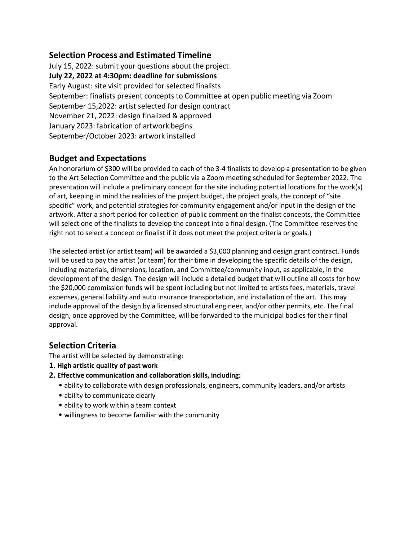## **Selection Process and Estimated Timeline**

July 15, 2022: submit your questions about the project **July 22, 2022 at 4:30pm: deadline for submissions** Early August: site visit provided for selected finalists September: finalists present concepts to Committee at open public meeting via Zoom September 15,2022: artist selected for design contract November 21, 2022: design finalized & approved January 2023: fabrication of artwork begins September/October 2023: artwork installed

## **Budget and Expectations**

An honorarium of \$300 will be provided to each of the 3-4 finalists to develop a presentation to be given to the Art Selection Committee and the public via a Zoom meeting scheduled for September 2022. The presentation will include a preliminary concept for the site including potential locations for the work(s) of art, keeping in mind the realities of the project budget, the project goals, the concept of "site specific" work, and potential strategies for community engagement and/or input in the design of the artwork. After a short period for collection of public comment on the finalist concepts, the Committee will select one of the finalists to develop the concept into a final design. (The Committee reserves the right not to select a concept or finalist if it does not meet the project criteria or goals.)

The selected artist (or artist team) will be awarded a \$3,000 planning and design grant contract. Funds will be used to pay the artist (or team) for their time in developing the specific details of the design, including materials, dimensions, location, and Committee/community input, as applicable, in the development of the design. The design will include a detailed budget that will outline all costs for how the \$20,000 commission funds will be spent including but not limited to artists fees, materials, travel expenses, general liability and auto insurance transportation, and installation of the art. This may include approval of the design by a licensed structural engineer, and/or other permits, etc. The final design, once approved by the Committee, will be forwarded to the municipal bodies for their final approval.

## **Selection Criteria**

The artist will be selected by demonstrating:

- **1. High artistic quality of past work**
- **2. Effective communication and collaboration skills, including:**
	- ability to collaborate with design professionals, engineers, community leaders, and/or artists
	- ability to communicate clearly
	- ability to work within a team context
	- willingness to become familiar with the community